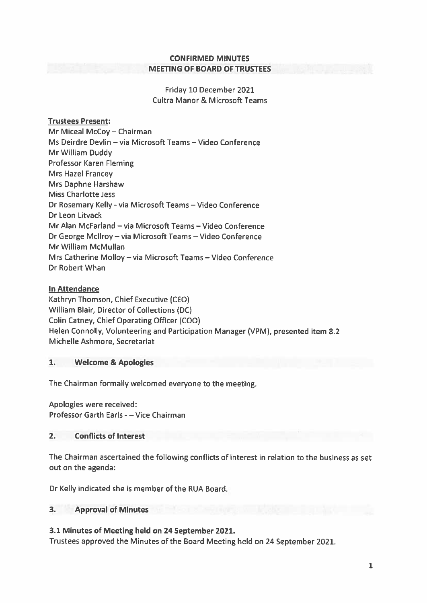### CONFIRMED MINUTES MEETING OF BOARD OF TRUSTEES

Friday 10 December 2021 Cultra Manor & Microsoft Teams

# Trustees Present;

Mr Miceal McCoy — Chairman Ms Deirdre Devlin — via Microsoft Teams — Video Conference Mr William Duddy Professor Karen Fleming Mrs Hazel Francey Mrs Daphne Harshaw Miss Charlotte Jess Dr Rosemary Kelly - via Microsoft Teams — Video Conference Dr Leon Litvack Mr Alan McFarland — via Microsoft Teams — Video Conference Dr George Mcllroy — via Microsoft Teams — Video Conference Mr William McMullan Mrs Catherine Molloy — via Microsoft Teams — Video Conference Dr Robert Whan

# In Attendance

Kathryn Thomson, Chief Executive (CEO) William Blair, Director of Collections (DC) Colin Catney, Chief Operating Officer (COO) Helen Connolly, Volunteering and Participation Manager (VPM), presented item 8.2 Michelle Ashmore, Secretariat

### 1. Welcome & Apologies

The Chairman formally welcomed everyone to the meeting.

Apologies were received: Professor Garth Earls -—Vice Chairman

# 2. Conflicts of Interest

The Chairman ascertained the following conflicts of interest in relation to the business as set out on the agenda:

Dr Kelly indicated she is member of the RUA Board.

### 3. Approval of Minutes

# 3.1 Minutes of Meeting held on 24 September 2021.

Trustees approved the Minutes of the Board Meeting held on <sup>24</sup> September 2021.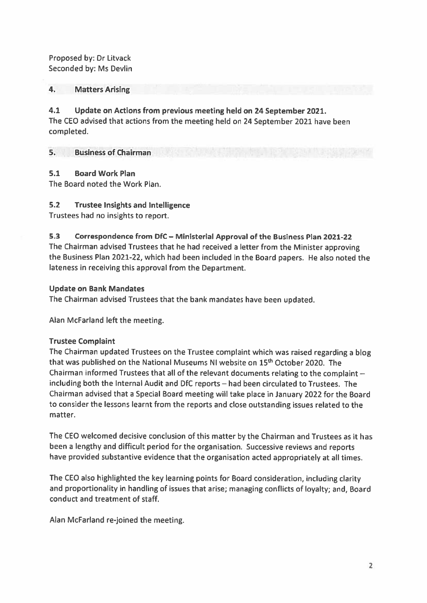Proposed by: Dr Litvack Seconded by: Ms Devlin

## 4. Matters Arising

4.1 Update on Actions from previous meeting held on 24 September 2021. The CEO advised that actions from the meeting held on 24 September 2021 have been completed.

#### 5. Business of Chairman

### 5.1 Board Work Plan

The Board noted the Work Plan.

## 5.2 Trustee Insights and Intelligence

Trustees had no insights to report.

#### 5.3 Correspondence from DfC — Ministerial Approval of the Business Plan 2021-22

The Chairman advised Trustees that he had received <sup>a</sup> letter from the Minister approving the Business Plan 2021-22, which had been included in the Board papers. He also noted the lateness in receiving this approval from the Department.

### Update on Bank Mandates

The Chairman advised Trustees that the bank mandates have been updated.

Alan McFarland left the meeting.

# Trustee Complaint

The Chairman updated Trustees on the Trustee complaint which was raised regarding <sup>a</sup> blog that was published on the National Museums NI website on 15<sup>th</sup> October 2020. The Chairman informed Trustees that all of the relevant documents relating to the complaint including both the Internal Audit and DfC reports — had been circulated to Trustees. The Chairman advised that <sup>a</sup> Special Board meeting will take <sup>p</sup>lace in January 2022 for the Board to consider the lessons learnt from the reports and close outstanding issues related to the matter.

The CEO welcomed decisive conclusion of this matter by the Chairman and Trustees as it has been <sup>a</sup> lengthy and difficult period for the organisation. Successive reviews and reports have provided substantive evidence that the organisation acted appropriately at all times.

The CEO also highlighted the key learning points for Board consideration, including clarity and proportionality in handling of issues that arise; managing conflicts of loyalty; and, Board conduct and treatment of staff.

Alan McFarland re-joined the meeting.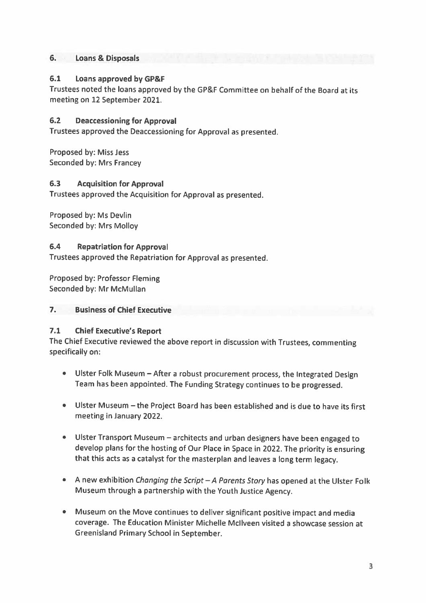## 6. Loans & Disposals

## 6.1 Loans approved by GP&F

Trustees noted the loans approved by the GP&F Committee on behalf of the Board at its meeting on 12 September 2021.

## 6.2 Deaccessioning for Approval

Trustees approved the Deaccessioning for Approval as presented.

Proposed by: Miss Jess Seconded by: Mrs Francey

## 6.3 Acquisition for Approval

Trustees approved the Acquisition for Approval as presented.

Proposed by: Ms Devlin Seconded by: Mrs Molloy

## 6.4 Repatriation for Approval

Trustees approved the Repatriation for Approval as presented.

Proposed by: Professor Fleming Seconded by: Mr McMullan

### 7. Business of Chief Executive

# 7.1 Chief Executive's Report

The Chief Executive reviewed the above report in discussion with Trustees, commenting specifically on:

- Ulster Folk Museum After <sup>a</sup> robust procurement process, the Integrated Design Team has been appointed. The Funding Strategy continues to be progressed.
- Ulster Museum —the Project Board has been established and is due to have its first meeting in January 2022.
- Ulster Transport Museum architects and urban designers have been engaged to develop <sup>p</sup>lans for the hosting of Our Place in Space in 2022. The priority is ensuring that this acts as <sup>a</sup> catalyst for the masterplan and leaves <sup>a</sup> long term legacy.
- <sup>A</sup> new exhibition Changing the Script <sup>A</sup> Parents Story has opened at the Ulster Folk Museum through <sup>a</sup> partnership with the Youth Justice Agency.
- Museum on the Move continues to deliver significant positive impact and media coverage. The Education Minister Michelle Mcllveen visited <sup>a</sup> showcase session at Greenisland Primary School in September.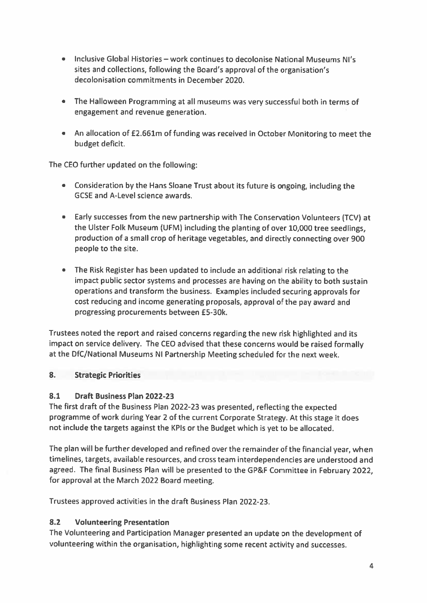- Inclusive Global Histories work continues to decolonise National Museums Ni's sites and collections, following the Board's approva<sup>l</sup> of the organisation's decolonisation commitments in December 2020.
- The Halloween Programming at all museums was very successful both in terms of engagemen<sup>t</sup> and revenue generation.
- An allocation of £2.661m of funding was received in October Monitoring to meet the budget deficit.

The CEO further updated on the following:

- Consideration by the Hans Sloane Trust about its future is ongoing, including the GCSE and A-Level science awards.
- Early successes from the new partnership with The Conservation Volunteers (TCV) at the Ulster Folk Museum UFM) including the <sup>p</sup>lanting of over 10,000 tree seedlings, production of <sup>a</sup> small crop of heritage vegetables, and directly connecting over <sup>900</sup> people to the site.
- The Risk Register has been updated to include an additional risk relating to the impact public sector systems and processes are having on the ability to both sustain operations and transform the business. Examples included securing approvals for cost reducing and income generating proposals, approva<sup>l</sup> of the pay award and progressing procurements between £5-30k.

Trustees noted the repor<sup>t</sup> and raised concerns regarding the new risk highlighted and its impact on service delivery. The CEO advised that these concerns would be raised formally at the DfC/National Museums NI Partnership Meeting scheduled for the next week.

# 8. Strategic Priorities

# 8.1 Draft Business Plan 2022-23

The first draft of the Business Plan 2022-23 was presented, reflecting the expected programme of work during Year <sup>2</sup> of the current Corporate Strategy. At this stage it does not include the targets against the KPIs or the Budget which is ye<sup>t</sup> to be allocated.

The <sup>p</sup>lan will be further developed and refined over the remainder of the financial year, when timelines, targets, available resources, and cross team interdependencies are understood and agreed. The final Business Plan will be presented to the GP&F Committee in February 2022, for approval at the March 2022 Board meeting.

Trustees approved activities in the draft Business Plan 2022-23.

# 8.2 Volunteering Presentation

The Volunteering and Participation Manager presented an update on the development of volunteering within the organisation, highlighting some recent activity and successes.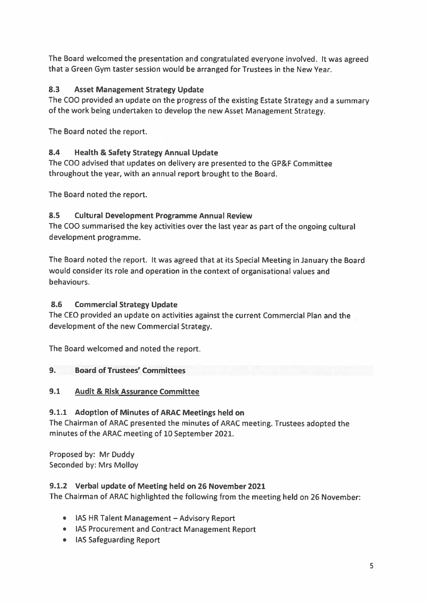The Board welcomed the presentation and congratulated everyone involved. It was agree<sup>d</sup> that <sup>a</sup> Green Gym taster session would be arranged for Trustees in the New Year.

# 8.3 Asset Management Strategy Update

The COO provided an update on the progress of the existing Estate Strategy and <sup>a</sup> summary of the work being undertaken to develop the new Asset Management Strategy.

The Board noted the report.

# 8.4 Health & Safety Strategy Annual Update

The COO advised that updates on delivery are presented to the GP&F Committee throughout the year, with an annual repor<sup>t</sup> brought to the Board.

The Board noted the report.

# 8.5 Cultural Development Programme Annual Review

The COO summarised the key activities over the last year as par<sup>t</sup> of the ongoing cultural development programme.

The Board noted the report. It was agree<sup>d</sup> that at its Special Meeting in January the Board would consider its role and operation in the context of organisational values and behaviours.

# 8.6 Commercial Strategy Update

The CEO provided an update on activities against the current Commercial Plan and the development of the new Commercial Strategy.

The Board welcomed and noted the report.

# 9. Board of Trustees' Committees

# 9.1 Audit & Risk Assurance Committee

# 9.1.1 Adoption of Minutes of ARAC Meetings held on

The Chairman of ARAC presented the minutes of ARAC meeting. Trustees adopted the minutes of the ARAC meeting of 10 September 2021.

Proposed by: Mr Duddy Seconded by: Mrs Molloy

# 9.1.2 Verbal update of Meeting held on 26 November 2021

The Chairman of ARAC highlighted the following from the meeting held on 26 November:

- lAS HR Talent Management Advisory Report
- lAS Procurement and Contract Management Report
- lAS Safeguarding Report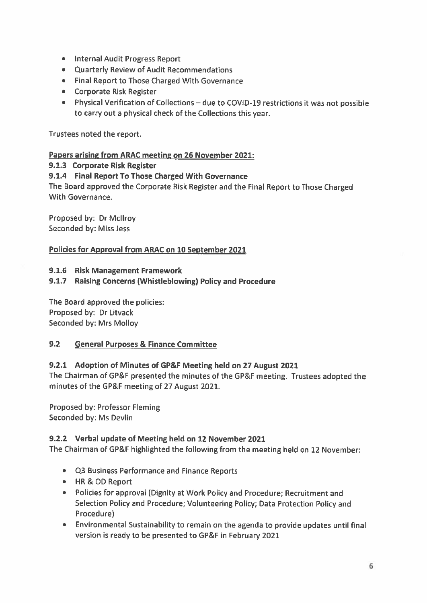- Internal Audit Progress Report
- Quarterly Review of Audit Recommendations
- Final Report to Those Charged With Governance
- Corporate Risk Register
- Physical Verification of Collections due to COVID-19 restrictions it was not possible to carry out <sup>a</sup> physical check of the Collections this year.

Trustees noted the report.

## Papers arising from ARAC meeting on 26 November 2021:

## 9.1.3 Corporate Risk Register

## 9.1.4 Final Report To Those Charged With Governance

The Board approve<sup>d</sup> the Corporate Risk Register and the Final Report to Those Charged With Governance.

Proposed by: Dr Mcllroy Seconded by: Miss Jess

## Policies for Approval from ARAC on 10 September 2021

### 9.1.6 Risk Management Framework

## 9.1.7 Raising Concerns (Whistleblowing) Policy and Procedure

The Board approved the policies: Proposed by: Dr Litvack Seconded by: Mrs Molloy

# 9.2 General Purposes & Finance Committee

# 9.2.1 Adoption of Minutes of GP&F Meeting held on 27 August 2021

The Chairman of GP&F presented the minutes of the GP&F meeting. Trustees adopted the minutes of the GP&F meeting of 27 August 2021.

Proposed by: Professor Fleming Seconded by: Ms Devlin

### 9.2.2 Verbal update of Meeting held on 12 November 2021

The Chairman of GP&F highlighted the following from the meeting held on <sup>12</sup> November:

- Q3 Business Performance and Finance Reports
- HR&OD Report
- Policies for approval (Dignity at Work Policy and Procedure; Recruitment and Selection Policy and Procedure; Volunteering Policy; Data Protection Policy and Procedure)
- Environmental Sustainability to remain on the agenda to provide updates until final version is ready to be presented to GP&F in February 2021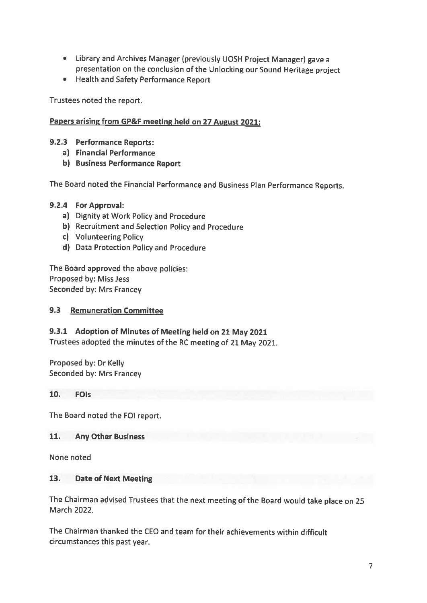- Library and Archives Manager (previously UOSH Project Manager) gave <sup>a</sup> presentation on the conclusion of the Unlocking our Sound Heritage project
- Health and Safety Performance Report

Trustees noted the report.

## Papers arising from GP&F meeting held on <sup>27</sup> August 2021:

- 9.2.3 Performance Reports:
	- a) Financial Performance
	- b) Business Performance Report

The Board noted the Financial Performance and Business Plan Performance Reports.

### 9.2.4 For Approval:

- a) Dignity at Work Policy and Procedure
- b) Recruitment and Selection Policy and Procedure
- c) Volunteering Policy
- d) Data Protection Policy and Procedure

The Board approved the above policies: Proposed by: Miss Jess Seconded by: Mrs Francey

## 9.3 Remuneration Committee

### 9.3.1 Adoption of Minutes of Meeting held on <sup>21</sup> May <sup>2021</sup>

Trustees adopted the minutes of the RC meeting of <sup>21</sup> May 2021.

Proposed by: Dr Kelly Seconded by: Mrs Francey

### 10. FOIs

The Board noted the FOl report.

### 11. Any Other Business

None noted

### 13. Date of Next Meeting

The Chairman advised Trustees that the next meeting of the Board would take <sup>p</sup>lace on <sup>25</sup> March 2022.

The Chairman thanked the CEO and team for their achievements within difficult circumstances this past year.